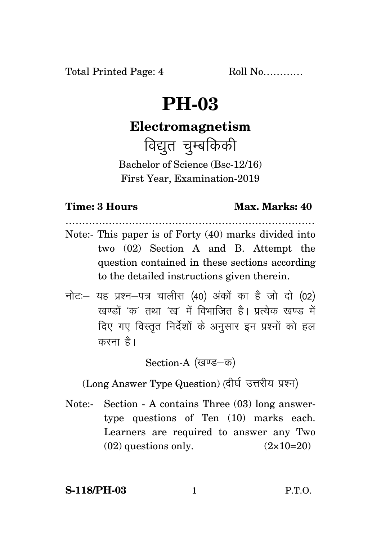# **PH-03**

# **Electromagnetism**

विद्युत चुम्बकिकी

Bachelor of Science (Bsc-12/16) First Year, Examination-2019

## **Time: 3 Hours Max. Marks: 40**

- ………………………………………………………………… Note:- This paper is of Forty (40) marks divided into two (02) Section A and B. Attempt the question contained in these sections according to the detailed instructions given therein.
- $\vec{\eta}$ नोटः– यह प्रश्न–पत्र चालीस (40) अंकों का है जो दो (02) खण्डों 'क' तथा 'ख' में विभाजित है। प्रत्येक खण्ड में दिए गए विस्तृत निर्देशों के अनुसार इन प्रश्नों को हल करना $\hat{g}$ ।

Section-A (खण्ड–क)

(Long Answer Type Question) (दीर्घ उत्तरीय प्रश्न)

Note:- Section - A contains Three (03) long answertype questions of Ten (10) marks each. Learners are required to answer any Two  $(02)$  questions only.  $(2 \times 10=20)$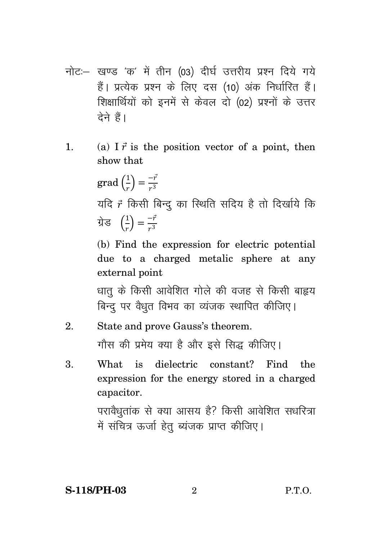- नोट:- खण्ड 'क' में तीन (03) दीर्घ उत्तरीय प्रश्न दिये गये हैं। प्रत्येक प्रश्न के लिए दस (10) अंक निर्धारित हैं। शिक्षार्थियों को इनमें से केवल दो (02) प्रश्नों के उत्तर टेने हैं।
- (a) I  $\vec{r}$  is the position vector of a point, then  $\mathbf{1}$ . show that

 $\operatorname{grad}\left(\frac{1}{r}\right) = \frac{-\vec{r}}{r^3}$ यदि 7 किसी बिन्दु का स्थिति सदिय है तो दिर्खाये कि  $\vec{y}$ ਤ  $\left(\frac{1}{x}\right) = \frac{-\vec{r}}{x^3}$ 

(b) Find the expression for electric potential due to a charged metalic sphere at any external point

धात के किसी आवेशित गोले की वजह से किसी बाहृय बिन्दु पर वैधृत विभव का व्यंजक स्थापित कीजिए।

#### $\mathfrak{D}$ State and prove Gauss's theorem. गौस की प्रमेय क्या है और इसे सिद्ध कीजिए।

dielectric constant? 3. What  $is$ Find the expression for the energy stored in a charged capacitor.

> परावैधृतांक से क्या आसय है? किसी आवेशित सधरित्रा में संचित्र ऊर्जा हेतु ब्यंजक प्राप्त कीजिए।

 $\mathcal{D}_{\mathcal{A}}$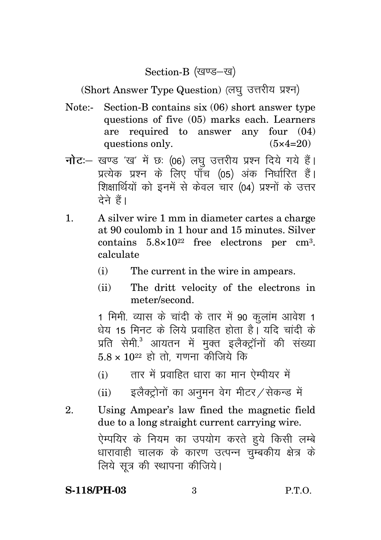Section-B (खण्ड–ख)

(Short Answer Type Question) (लघु उत्तरीय प्रश्न)

- Note:- Section-B contains six (06) short answer type questions of five (05) marks each. Learners are required to answer any four (04) questions only.  $(5 \times 4=20)$
- **नोट**: खण्ड 'ख' में छः (06) लघु उत्तरीय प्रश्न दिये गये हैं। प्रत्येक प्रश्न के लिए पाँच (05) अंक निर्धारित हैं। शिक्षार्थियों को इनमें से केवल चार (04) प्रश्नों के उत्तर <u>देने हैं।</u>
- 1. A silver wire 1 mm in diameter cartes a charge at 90 coulomb in 1 hour and 15 minutes. Silver contains  $5.8 \times 10^{22}$  free electrons per cm<sup>3</sup>. calculate
	- (i) The current in the wire in ampears.
	- (ii) The dritt velocity of the electrons in meter/second.

1 मिमी. व्यास के चांदी के तार में 90 कलांम आवेश 1 <u>धेय 15 मिनट के लिये प्रवाहित होता है। यदि चांदी के </u> प्रति सेमी.<sup>3</sup> आयतन में मुक्त इलैक्ट्रॉनों की संख्या  $5.8 \times 10^{22}$  हो तो गणना कीजिये कि

- $(i)$  तार में प्रवाहित धारा का मान ऐम्पीयर में
- $(iii)$  इलैक्ट्रोनों का अनुमन वेग मीटर $\nu$ सेकन्ड में
- 2. Using Ampear's law fined the magnetic field due to a long straight current carrying wire. ऐम्पयिर के नियम का उपयोग करते हुये किसी लम्बे धारावाही चालक के कारण उत्पन्न चुम्बकीय क्षेत्र के लिये सूत्र की स्थापना कीजिये।

### **S-118/PH-03** 3 P.T.O.